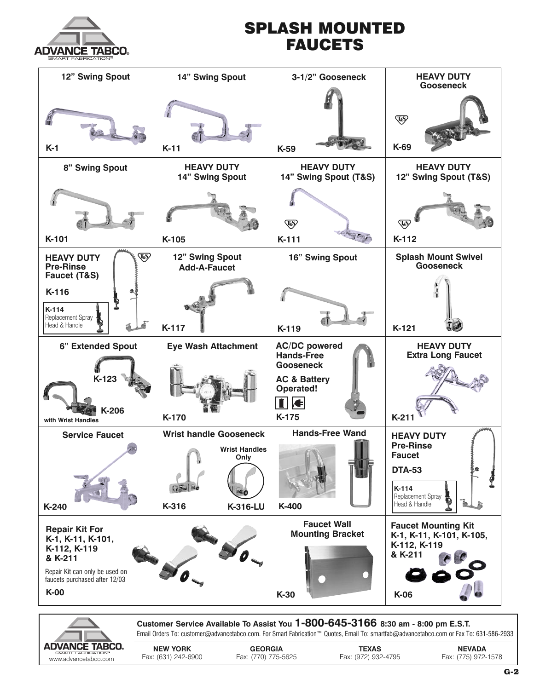

## **SPLASH MOUNTED FAUCETS**





**Customer Service Available To Assist You 1-800-645-3166 8:30 am - 8:00 pm E.S.T.** Email Orders To: customer@advancetabco.com. For Smart Fabrication™ Quotes, Email To: smartfab@advancetabco.com or Fax To: 631-586-2933

**NEW YORK GEORGIA TEXAS NEVADA** www.advancetabco.com Fax: (631) 242-6900 Fax: (770) 775-5625 Fax: (972) 932-4795 Fax: (775) 972-1578